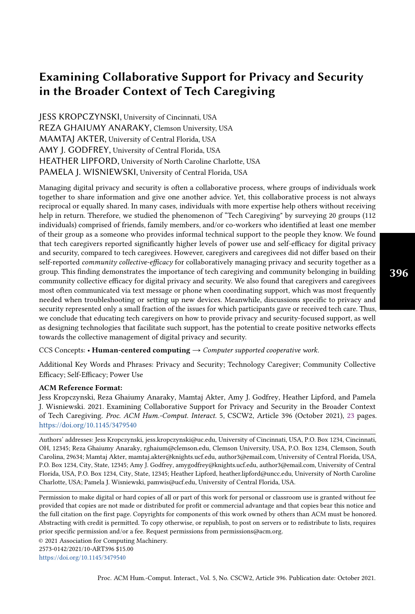# Examining Collaborative Support for Privacy and Security in the Broader Context of Tech Caregiving

JESS KROPCZYNSKI, University of Cincinnati, USA REZA GHAIUMY ANARAKY, Clemson University, USA MAMTAJ AKTER, University of Central Florida, USA AMY J. GODFREY, University of Central Florida, USA HEATHER LIPFORD, University of North Caroline Charlotte, USA PAMELA J. WISNIEWSKI, University of Central Florida, USA

Managing digital privacy and security is often a collaborative process, where groups of individuals work together to share information and give one another advice. Yet, this collaborative process is not always reciprocal or equally shared. In many cases, individuals with more expertise help others without receiving help in return. Therefore, we studied the phenomenon of "Tech Caregiving" by surveying 20 groups (112 individuals) comprised of friends, family members, and/or co-workers who identified at least one member of their group as a someone who provides informal technical support to the people they know. We found that tech caregivers reported significantly higher levels of power use and self-efficacy for digital privacy and security, compared to tech caregivees. However, caregivers and caregivees did not differ based on their self-reported community collective-efficacy for collaboratively managing privacy and security together as a group. This finding demonstrates the importance of tech caregiving and community belonging in building community collective efficacy for digital privacy and security. We also found that caregivers and caregivees most often communicated via text message or phone when coordinating support, which was most frequently needed when troubleshooting or setting up new devices. Meanwhile, discussions specific to privacy and security represented only a small fraction of the issues for which participants gave or received tech care. Thus, we conclude that educating tech caregivers on how to provide privacy and security-focused support, as well as designing technologies that facilitate such support, has the potential to create positive networks effects towards the collective management of digital privacy and security.

CCS Concepts: • Human-centered computing  $\rightarrow$  Computer supported cooperative work.

Additional Key Words and Phrases: Privacy and Security; Technology Caregiver; Community Collective Efficacy; Self-Efficacy; Power Use

#### ACM Reference Format:

Jess Kropczynski, Reza Ghaiumy Anaraky, Mamtaj Akter, Amy J. Godfrey, Heather Lipford, and Pamela J. Wisniewski. 2021. Examining Collaborative Support for Privacy and Security in the Broader Context of Tech Caregiving. Proc. ACM Hum.-Comput. Interact. 5, CSCW2, Article 396 (October 2021), [23](#page-22-0) pages. <https://doi.org/10.1145/3479540>

Authors' addresses: Jess Kropczynski, jess.kropczynski@uc.edu, University of Cincinnati, USA, P.O. Box 1234, Cincinnati, OH, 12345; Reza Ghaiumy Anaraky, rghaium@clemson.edu, Clemson University, USA, P.O. Box 1234, Clemson, South Carolina, 29634; Mamtaj Akter, mamtaj.akter@knights.ucf.edu, author3@email.com, University of Central Florida, USA, P.O. Box 1234, City, State, 12345; Amy J. Godfrey, amygodfrey@knights.ucf.edu, author3@email.com, University of Central Florida, USA, P.O. Box 1234, City, State, 12345; Heather Lipford, heather.lipford@uncc.edu, University of North Caroline Charlotte, USA; Pamela J. Wisniewski, pamwis@ucf.edu, University of Central Florida, USA.

Permission to make digital or hard copies of all or part of this work for personal or classroom use is granted without fee provided that copies are not made or distributed for profit or commercial advantage and that copies bear this notice and the full citation on the first page. Copyrights for components of this work owned by others than ACM must be honored. Abstracting with credit is permitted. To copy otherwise, or republish, to post on servers or to redistribute to lists, requires prior specific permission and/or a fee. Request permissions from permissions@acm.org.

© 2021 Association for Computing Machinery.

2573-0142/2021/10-ART396 \$15.00

<https://doi.org/10.1145/3479540>

396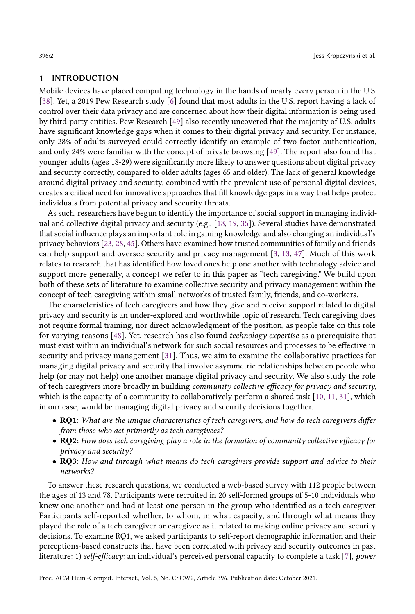### 1 INTRODUCTION

Mobile devices have placed computing technology in the hands of nearly every person in the U.S. [\[38\]](#page-22-1). Yet, a 2019 Pew Research study [\[6\]](#page-20-0) found that most adults in the U.S. report having a lack of control over their data privacy and are concerned about how their digital information is being used by third-party entities. Pew Research [\[49\]](#page-22-2) also recently uncovered that the majority of U.S. adults have significant knowledge gaps when it comes to their digital privacy and security. For instance, only 28% of adults surveyed could correctly identify an example of two-factor authentication, and only 24% were familiar with the concept of private browsing [\[49\]](#page-22-2). The report also found that younger adults (ages 18-29) were significantly more likely to answer questions about digital privacy and security correctly, compared to older adults (ages 65 and older). The lack of general knowledge around digital privacy and security, combined with the prevalent use of personal digital devices, creates a critical need for innovative approaches that fill knowledge gaps in a way that helps protect individuals from potential privacy and security threats.

As such, researchers have begun to identify the importance of social support in managing individual and collective digital privacy and security (e.g., [\[18,](#page-21-0) [19,](#page-21-1) [35\]](#page-22-3)). Several studies have demonstrated that social influence plays an important role in gaining knowledge and also changing an individual's privacy behaviors [\[23,](#page-21-2) [28,](#page-21-3) [45\]](#page-22-4). Others have examined how trusted communities of family and friends can help support and oversee security and privacy management [\[3,](#page-20-1) [13,](#page-21-4) [47\]](#page-22-5). Much of this work relates to research that has identified how loved ones help one another with technology advice and support more generally, a concept we refer to in this paper as "tech caregiving." We build upon both of these sets of literature to examine collective security and privacy management within the concept of tech caregiving within small networks of trusted family, friends, and co-workers.

The characteristics of tech caregivers and how they give and receive support related to digital privacy and security is an under-explored and worthwhile topic of research. Tech caregiving does not require formal training, nor direct acknowledgment of the position, as people take on this role for varying reasons [\[48\]](#page-22-6). Yet, research has also found technology expertise as a prerequisite that must exist within an individual's network for such social resources and processes to be effective in security and privacy management [\[31\]](#page-21-5). Thus, we aim to examine the collaborative practices for managing digital privacy and security that involve asymmetric relationships between people who help (or may not help) one another manage digital privacy and security. We also study the role of tech caregivers more broadly in building community collective efficacy for privacy and security, which is the capacity of a community to collaboratively perform a shared task [\[10,](#page-20-2) [11,](#page-20-3) [31\]](#page-21-5), which in our case, would be managing digital privacy and security decisions together.

- RQ1: What are the unique characteristics of tech caregivers, and how do tech caregivers differ from those who act primarily as tech caregivees?
- RQ2: How does tech caregiving play a role in the formation of community collective efficacy for privacy and security?
- RQ3: How and through what means do tech caregivers provide support and advice to their networks?

To answer these research questions, we conducted a web-based survey with 112 people between the ages of 13 and 78. Participants were recruited in 20 self-formed groups of 5-10 individuals who knew one another and had at least one person in the group who identified as a tech caregiver. Participants self-reported whether, to whom, in what capacity, and through what means they played the role of a tech caregiver or caregivee as it related to making online privacy and security decisions. To examine RQ1, we asked participants to self-report demographic information and their perceptions-based constructs that have been correlated with privacy and security outcomes in past literature: 1) self-efficacy: an individual's perceived personal capacity to complete a task [\[7\]](#page-20-4), power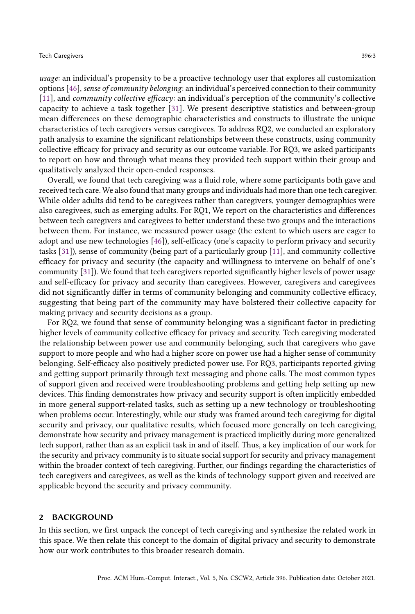usage: an individual's propensity to be a proactive technology user that explores all customization options [\[46\]](#page-22-7), sense of community belonging: an individual's perceived connection to their community [\[11\]](#page-20-3), and community collective efficacy: an individual's perception of the community's collective capacity to achieve a task together [\[31\]](#page-21-5). We present descriptive statistics and between-group mean differences on these demographic characteristics and constructs to illustrate the unique characteristics of tech caregivers versus caregivees. To address RQ2, we conducted an exploratory path analysis to examine the significant relationships between these constructs, using community collective efficacy for privacy and security as our outcome variable. For RQ3, we asked participants to report on how and through what means they provided tech support within their group and qualitatively analyzed their open-ended responses.

Overall, we found that tech caregiving was a fluid role, where some participants both gave and received tech care. We also found that many groups and individuals had more than one tech caregiver. While older adults did tend to be caregivees rather than caregivers, younger demographics were also caregivees, such as emerging adults. For RQ1, We report on the characteristics and differences between tech caregivers and caregivees to better understand these two groups and the interactions between them. For instance, we measured power usage (the extent to which users are eager to adopt and use new technologies [\[46\]](#page-22-7)), self-efficacy (one's capacity to perform privacy and security tasks [\[31\]](#page-21-5)), sense of community (being part of a particularly group [\[11\]](#page-20-3), and community collective efficacy for privacy and security (the capacity and willingness to intervene on behalf of one's community [\[31\]](#page-21-5)). We found that tech caregivers reported significantly higher levels of power usage and self-efficacy for privacy and security than caregivees. However, caregivers and caregivees did not significantly differ in terms of community belonging and community collective efficacy, suggesting that being part of the community may have bolstered their collective capacity for making privacy and security decisions as a group.

For RQ2, we found that sense of community belonging was a significant factor in predicting higher levels of community collective efficacy for privacy and security. Tech caregiving moderated the relationship between power use and community belonging, such that caregivers who gave support to more people and who had a higher score on power use had a higher sense of community belonging. Self-efficacy also positively predicted power use. For RQ3, participants reported giving and getting support primarily through text messaging and phone calls. The most common types of support given and received were troubleshooting problems and getting help setting up new devices. This finding demonstrates how privacy and security support is often implicitly embedded in more general support-related tasks, such as setting up a new technology or troubleshooting when problems occur. Interestingly, while our study was framed around tech caregiving for digital security and privacy, our qualitative results, which focused more generally on tech caregiving, demonstrate how security and privacy management is practiced implicitly during more generalized tech support, rather than as an explicit task in and of itself. Thus, a key implication of our work for the security and privacy community is to situate social support for security and privacy management within the broader context of tech caregiving. Further, our findings regarding the characteristics of tech caregivers and caregivees, as well as the kinds of technology support given and received are applicable beyond the security and privacy community.

#### 2 BACKGROUND

In this section, we first unpack the concept of tech caregiving and synthesize the related work in this space. We then relate this concept to the domain of digital privacy and security to demonstrate how our work contributes to this broader research domain.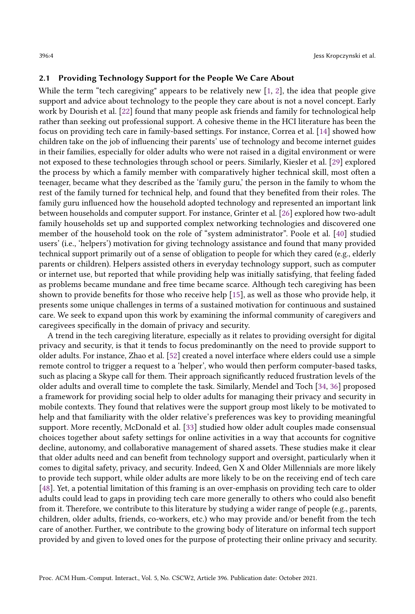#### 2.1 Providing Technology Support for the People We Care About

While the term "tech caregiving" appears to be relatively new [\[1,](#page-20-5) [2\]](#page-20-6), the idea that people give support and advice about technology to the people they care about is not a novel concept. Early work by Dourish et al. [\[22\]](#page-21-6) found that many people ask friends and family for technological help rather than seeking out professional support. A cohesive theme in the HCI literature has been the focus on providing tech care in family-based settings. For instance, Correa et al. [\[14\]](#page-21-7) showed how children take on the job of influencing their parents' use of technology and become internet guides in their families, especially for older adults who were not raised in a digital environment or were not exposed to these technologies through school or peers. Similarly, Kiesler et al. [\[29\]](#page-21-8) explored the process by which a family member with comparatively higher technical skill, most often a teenager, became what they described as the 'family guru,' the person in the family to whom the rest of the family turned for technical help, and found that they benefited from their roles. The family guru influenced how the household adopted technology and represented an important link between households and computer support. For instance, Grinter et al. [\[26\]](#page-21-9) explored how two-adult family households set up and supported complex networking technologies and discovered one member of the household took on the role of "system administrator". Poole et al. [\[40\]](#page-22-8) studied users' (i.e., 'helpers') motivation for giving technology assistance and found that many provided technical support primarily out of a sense of obligation to people for which they cared (e.g., elderly parents or children). Helpers assisted others in everyday technology support, such as computer or internet use, but reported that while providing help was initially satisfying, that feeling faded as problems became mundane and free time became scarce. Although tech caregiving has been shown to provide benefits for those who receive help [\[15\]](#page-21-10), as well as those who provide help, it presents some unique challenges in terms of a sustained motivation for continuous and sustained care. We seek to expand upon this work by examining the informal community of caregivers and caregivees specifically in the domain of privacy and security.

A trend in the tech caregiving literature, especially as it relates to providing oversight for digital privacy and security, is that it tends to focus predominantly on the need to provide support to older adults. For instance, Zhao et al. [\[52\]](#page-22-9) created a novel interface where elders could use a simple remote control to trigger a request to a 'helper', who would then perform computer-based tasks, such as placing a Skype call for them. Their approach significantly reduced frustration levels of the older adults and overall time to complete the task. Similarly, Mendel and Toch [\[34,](#page-22-10) [36\]](#page-22-11) proposed a framework for providing social help to older adults for managing their privacy and security in mobile contexts. They found that relatives were the support group most likely to be motivated to help and that familiarity with the older relative's preferences was key to providing meaningful support. More recently, McDonald et al. [\[33\]](#page-21-11) studied how older adult couples made consensual choices together about safety settings for online activities in a way that accounts for cognitive decline, autonomy, and collaborative management of shared assets. These studies make it clear that older adults need and can benefit from technology support and oversight, particularly when it comes to digital safety, privacy, and security. Indeed, Gen X and Older Millennials are more likely to provide tech support, while older adults are more likely to be on the receiving end of tech care [\[48\]](#page-22-6). Yet, a potential limitation of this framing is an over-emphasis on providing tech care to older adults could lead to gaps in providing tech care more generally to others who could also benefit from it. Therefore, we contribute to this literature by studying a wider range of people (e.g., parents, children, older adults, friends, co-workers, etc.) who may provide and/or benefit from the tech care of another. Further, we contribute to the growing body of literature on informal tech support provided by and given to loved ones for the purpose of protecting their online privacy and security.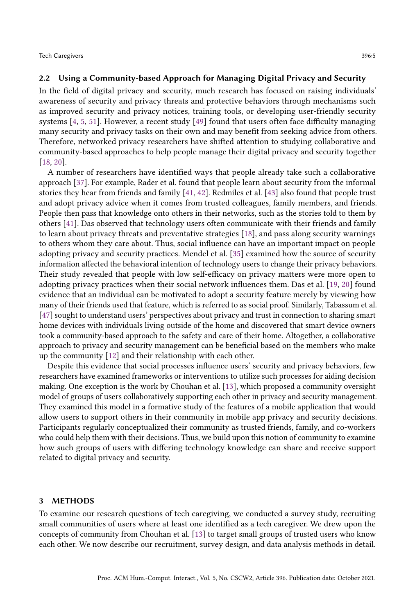#### 2.2 Using a Community-based Approach for Managing Digital Privacy and Security

In the field of digital privacy and security, much research has focused on raising individuals' awareness of security and privacy threats and protective behaviors through mechanisms such as improved security and privacy notices, training tools, or developing user-friendly security systems [\[4,](#page-20-7) [5,](#page-20-8) [51\]](#page-22-12). However, a recent study [\[49\]](#page-22-2) found that users often face difficulty managing many security and privacy tasks on their own and may benefit from seeking advice from others. Therefore, networked privacy researchers have shifted attention to studying collaborative and community-based approaches to help people manage their digital privacy and security together [\[18,](#page-21-0) [20\]](#page-21-12).

A number of researchers have identified ways that people already take such a collaborative approach [\[37\]](#page-22-13). For example, Rader et al. found that people learn about security from the informal stories they hear from friends and family [\[41,](#page-22-14) [42\]](#page-22-15). Redmiles et al. [\[43\]](#page-22-16) also found that people trust and adopt privacy advice when it comes from trusted colleagues, family members, and friends. People then pass that knowledge onto others in their networks, such as the stories told to them by others [\[41\]](#page-22-14). Das observed that technology users often communicate with their friends and family to learn about privacy threats and preventative strategies [\[18\]](#page-21-0), and pass along security warnings to others whom they care about. Thus, social influence can have an important impact on people adopting privacy and security practices. Mendel et al. [\[35\]](#page-22-3) examined how the source of security information affected the behavioral intention of technology users to change their privacy behaviors. Their study revealed that people with low self-efficacy on privacy matters were more open to adopting privacy practices when their social network influences them. Das et al. [\[19,](#page-21-1) [20\]](#page-21-12) found evidence that an individual can be motivated to adopt a security feature merely by viewing how many of their friends used that feature, which is referred to as social proof. Similarly, Tabassum et al. [\[47\]](#page-22-5) sought to understand users' perspectives about privacy and trust in connection to sharing smart home devices with individuals living outside of the home and discovered that smart device owners took a community-based approach to the safety and care of their home. Altogether, a collaborative approach to privacy and security management can be beneficial based on the members who make up the community [\[12\]](#page-20-9) and their relationship with each other.

Despite this evidence that social processes influence users' security and privacy behaviors, few researchers have examined frameworks or interventions to utilize such processes for aiding decision making. One exception is the work by Chouhan et al. [\[13\]](#page-21-4), which proposed a community oversight model of groups of users collaboratively supporting each other in privacy and security management. They examined this model in a formative study of the features of a mobile application that would allow users to support others in their community in mobile app privacy and security decisions. Participants regularly conceptualized their community as trusted friends, family, and co-workers who could help them with their decisions. Thus, we build upon this notion of community to examine how such groups of users with differing technology knowledge can share and receive support related to digital privacy and security.

#### 3 METHODS

To examine our research questions of tech caregiving, we conducted a survey study, recruiting small communities of users where at least one identified as a tech caregiver. We drew upon the concepts of community from Chouhan et al. [\[13\]](#page-21-4) to target small groups of trusted users who know each other. We now describe our recruitment, survey design, and data analysis methods in detail.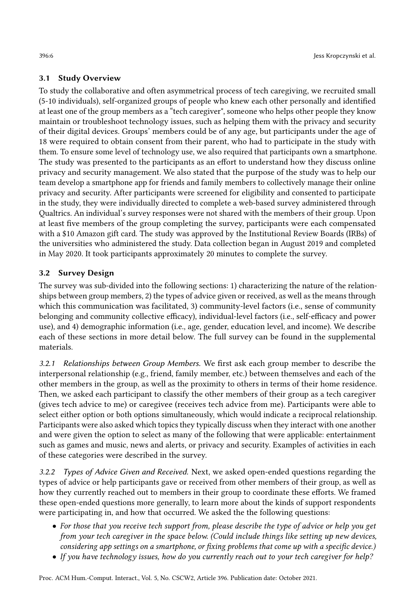# 3.1 Study Overview

To study the collaborative and often asymmetrical process of tech caregiving, we recruited small (5-10 individuals), self-organized groups of people who knew each other personally and identified at least one of the group members as a "tech caregiver", someone who helps other people they know maintain or troubleshoot technology issues, such as helping them with the privacy and security of their digital devices. Groups' members could be of any age, but participants under the age of 18 were required to obtain consent from their parent, who had to participate in the study with them. To ensure some level of technology use, we also required that participants own a smartphone. The study was presented to the participants as an effort to understand how they discuss online privacy and security management. We also stated that the purpose of the study was to help our team develop a smartphone app for friends and family members to collectively manage their online privacy and security. After participants were screened for eligibility and consented to participate in the study, they were individually directed to complete a web-based survey administered through Qualtrics. An individual's survey responses were not shared with the members of their group. Upon at least five members of the group completing the survey, participants were each compensated with a \$10 Amazon gift card. The study was approved by the Institutional Review Boards (IRBs) of the universities who administered the study. Data collection began in August 2019 and completed in May 2020. It took participants approximately 20 minutes to complete the survey.

# 3.2 Survey Design

The survey was sub-divided into the following sections: 1) characterizing the nature of the relationships between group members, 2) the types of advice given or received, as well as the means through which this communication was facilitated, 3) community-level factors (i.e., sense of community belonging and community collective efficacy), individual-level factors (i.e., self-efficacy and power use), and 4) demographic information (i.e., age, gender, education level, and income). We describe each of these sections in more detail below. The full survey can be found in the supplemental materials.

3.2.1 Relationships between Group Members. We first ask each group member to describe the interpersonal relationship (e.g., friend, family member, etc.) between themselves and each of the other members in the group, as well as the proximity to others in terms of their home residence. Then, we asked each participant to classify the other members of their group as a tech caregiver (gives tech advice to me) or caregivee (receives tech advice from me). Participants were able to select either option or both options simultaneously, which would indicate a reciprocal relationship. Participants were also asked which topics they typically discuss when they interact with one another and were given the option to select as many of the following that were applicable: entertainment such as games and music, news and alerts, or privacy and security. Examples of activities in each of these categories were described in the survey.

3.2.2 Types of Advice Given and Received. Next, we asked open-ended questions regarding the types of advice or help participants gave or received from other members of their group, as well as how they currently reached out to members in their group to coordinate these efforts. We framed these open-ended questions more generally, to learn more about the kinds of support respondents were participating in, and how that occurred. We asked the the following questions:

- For those that you receive tech support from, please describe the type of advice or help you get from your tech caregiver in the space below. (Could include things like setting up new devices, considering app settings on a smartphone, or fixing problems that come up with a specific device.)
- If you have technology issues, how do you currently reach out to your tech caregiver for help?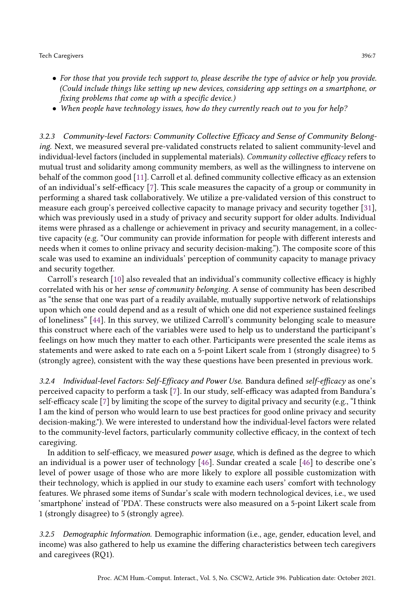- For those that you provide tech support to, please describe the type of advice or help you provide. (Could include things like setting up new devices, considering app settings on a smartphone, or fixing problems that come up with a specific device.)
- When people have technology issues, how do they currently reach out to you for help?

3.2.3 Community-level Factors: Community Collective Efficacy and Sense of Community Belonging. Next, we measured several pre-validated constructs related to salient community-level and individual-level factors (included in supplemental materials). Community collective efficacy refers to mutual trust and solidarity among community members, as well as the willingness to intervene on behalf of the common good [\[11\]](#page-20-3). Carroll et al. defined community collective efficacy as an extension of an individual's self-efficacy [\[7\]](#page-20-4). This scale measures the capacity of a group or community in performing a shared task collaboratively. We utilize a pre-validated version of this construct to measure each group's perceived collective capacity to manage privacy and security together [\[31\]](#page-21-5), which was previously used in a study of privacy and security support for older adults. Individual items were phrased as a challenge or achievement in privacy and security management, in a collective capacity (e.g. "Our community can provide information for people with different interests and needs when it comes to online privacy and security decision-making."). The composite score of this scale was used to examine an individuals' perception of community capacity to manage privacy and security together.

Carroll's research [\[10\]](#page-20-2) also revealed that an individual's community collective efficacy is highly correlated with his or her sense of community belonging. A sense of community has been described as "the sense that one was part of a readily available, mutually supportive network of relationships upon which one could depend and as a result of which one did not experience sustained feelings of loneliness" [\[44\]](#page-22-17). In this survey, we utilized Carroll's community belonging scale to measure this construct where each of the variables were used to help us to understand the participant's feelings on how much they matter to each other. Participants were presented the scale items as statements and were asked to rate each on a 5-point Likert scale from 1 (strongly disagree) to 5 (strongly agree), consistent with the way these questions have been presented in previous work.

3.2.4 Individual-level Factors: Self-Efficacy and Power Use. Bandura defined self-efficacy as one's perceived capacity to perform a task [\[7\]](#page-20-4). In our study, self-efficacy was adapted from Bandura's self-efficacy scale [\[7\]](#page-20-4) by limiting the scope of the survey to digital privacy and security (e.g., "I think I am the kind of person who would learn to use best practices for good online privacy and security decision-making."). We were interested to understand how the individual-level factors were related to the community-level factors, particularly community collective efficacy, in the context of tech caregiving.

In addition to self-efficacy, we measured power usage, which is defined as the degree to which an individual is a power user of technology [\[46\]](#page-22-7). Sundar created a scale [\[46\]](#page-22-7) to describe one's level of power usage of those who are more likely to explore all possible customization with their technology, which is applied in our study to examine each users' comfort with technology features. We phrased some items of Sundar's scale with modern technological devices, i.e., we used 'smartphone' instead of 'PDA'. These constructs were also measured on a 5-point Likert scale from 1 (strongly disagree) to 5 (strongly agree).

3.2.5 Demographic Information. Demographic information (i.e., age, gender, education level, and income) was also gathered to help us examine the differing characteristics between tech caregivers and caregivees (RQ1).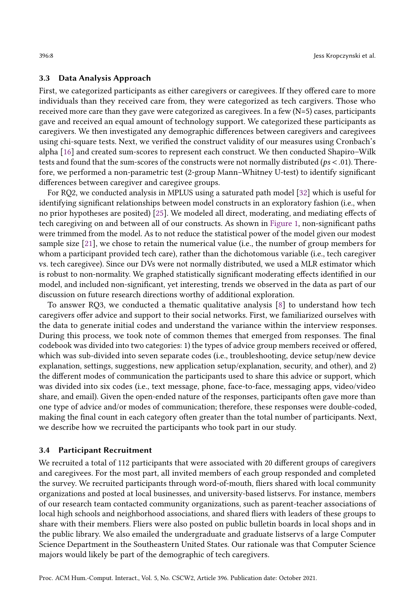### 3.3 Data Analysis Approach

First, we categorized participants as either caregivers or caregivees. If they offered care to more individuals than they received care from, they were categorized as tech cargivers. Those who received more care than they gave were categorized as caregivees. In a few (N=5) cases, participants gave and received an equal amount of technology support. We categorized these participants as caregivers. We then investigated any demographic differences between caregivers and caregivees using chi-square tests. Next, we verified the construct validity of our measures using Cronbach's alpha [\[16\]](#page-21-13) and created sum-scores to represent each construct. We then conducted Shapiro–Wilk tests and found that the sum-scores of the constructs were not normally distributed ( $ps < .01$ ). Therefore, we performed a non-parametric test (2-group Mann–Whitney U-test) to identify significant differences between caregiver and caregivee groups.

For RQ2, we conducted analysis in MPLUS using a saturated path model [\[32\]](#page-21-14) which is useful for identifying significant relationships between model constructs in an exploratory fashion (i.e., when no prior hypotheses are posited) [\[25\]](#page-21-15). We modeled all direct, moderating, and mediating effects of tech caregiving on and between all of our constructs. As shown in [Figure 1,](#page-11-0) non-significant paths were trimmed from the model. As to not reduce the statistical power of the model given our modest sample size [\[21\]](#page-21-16), we chose to retain the numerical value (i.e., the number of group members for whom a participant provided tech care), rather than the dichotomous variable (i.e., tech caregiver vs. tech caregivee). Since our DVs were not normally distributed, we used a MLR estimator which is robust to non-normality. We graphed statistically significant moderating effects identified in our model, and included non-significant, yet interesting, trends we observed in the data as part of our discussion on future research directions worthy of additional exploration.

To answer RQ3, we conducted a thematic qualitative analysis [\[8\]](#page-20-10) to understand how tech caregivers offer advice and support to their social networks. First, we familiarized ourselves with the data to generate initial codes and understand the variance within the interview responses. During this process, we took note of common themes that emerged from responses. The final codebook was divided into two categories: 1) the types of advice group members received or offered, which was sub-divided into seven separate codes (i.e., troubleshooting, device setup/new device explanation, settings, suggestions, new application setup/explanation, security, and other), and 2) the different modes of communication the participants used to share this advice or support, which was divided into six codes (i.e., text message, phone, face-to-face, messaging apps, video/video share, and email). Given the open-ended nature of the responses, participants often gave more than one type of advice and/or modes of communication; therefore, these responses were double-coded, making the final count in each category often greater than the total number of participants. Next, we describe how we recruited the participants who took part in our study.

#### 3.4 Participant Recruitment

We recruited a total of 112 participants that were associated with 20 different groups of caregivers and caregivees. For the most part, all invited members of each group responded and completed the survey. We recruited participants through word-of-mouth, fliers shared with local community organizations and posted at local businesses, and university-based listservs. For instance, members of our research team contacted community organizations, such as parent-teacher associations of local high schools and neighborhood associations, and shared fliers with leaders of these groups to share with their members. Fliers were also posted on public bulletin boards in local shops and in the public library. We also emailed the undergraduate and graduate listservs of a large Computer Science Department in the Southeastern United States. Our rationale was that Computer Science majors would likely be part of the demographic of tech caregivers.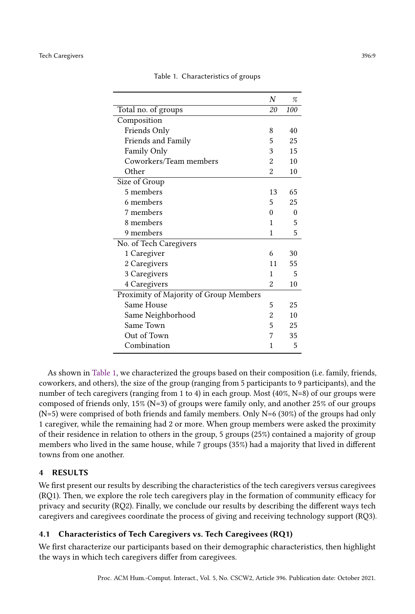<span id="page-8-0"></span>

|                                        | N              | %        |  |  |  |  |
|----------------------------------------|----------------|----------|--|--|--|--|
| Total no. of groups                    | 20             | 100      |  |  |  |  |
| Composition                            |                |          |  |  |  |  |
| Friends Only                           | 8              | 40       |  |  |  |  |
| Friends and Family                     | 5              | 25       |  |  |  |  |
| Family Only                            | 3              | 15       |  |  |  |  |
| Coworkers/Team members                 | $\overline{c}$ | 10       |  |  |  |  |
| Other                                  | 2              | 10       |  |  |  |  |
| Size of Group                          |                |          |  |  |  |  |
| 5 members                              | 13             | 65       |  |  |  |  |
| 6 members                              | 5              | 25       |  |  |  |  |
| 7 members                              | 0              | $\Omega$ |  |  |  |  |
| 8 members                              | 1              | 5        |  |  |  |  |
| 9 members                              | 1              | 5        |  |  |  |  |
| No. of Tech Caregivers                 |                |          |  |  |  |  |
| 1 Caregiver                            | 6              | 30       |  |  |  |  |
| 2 Caregivers                           | 11             | 55       |  |  |  |  |
| 3 Caregivers                           | 1              | 5        |  |  |  |  |
| 4 Caregivers                           | 2              | 10       |  |  |  |  |
| Proximity of Majority of Group Members |                |          |  |  |  |  |
| Same House                             | 5              | 25       |  |  |  |  |
| Same Neighborhood                      | $\overline{2}$ | 10       |  |  |  |  |
| Same Town                              | 5              | 25       |  |  |  |  |
| Out of Town                            | 7              | 35       |  |  |  |  |
| Combination                            | 1              | 5        |  |  |  |  |

Table 1. Characteristics of groups

As shown in [Table 1,](#page-8-0) we characterized the groups based on their composition (i.e. family, friends, coworkers, and others), the size of the group (ranging from 5 participants to 9 participants), and the number of tech caregivers (ranging from 1 to 4) in each group. Most (40%, N=8) of our groups were composed of friends only, 15% (N=3) of groups were family only, and another 25% of our groups  $(N=5)$  were comprised of both friends and family members. Only  $N=6$  (30%) of the groups had only 1 caregiver, while the remaining had 2 or more. When group members were asked the proximity of their residence in relation to others in the group, 5 groups (25%) contained a majority of group members who lived in the same house, while 7 groups (35%) had a majority that lived in different towns from one another.

# 4 RESULTS

We first present our results by describing the characteristics of the tech caregivers versus caregivees (RQ1). Then, we explore the role tech caregivers play in the formation of community efficacy for privacy and security (RQ2). Finally, we conclude our results by describing the different ways tech caregivers and caregivees coordinate the process of giving and receiving technology support (RQ3).

# 4.1 Characteristics of Tech Caregivers vs. Tech Caregivees (RQ1)

We first characterize our participants based on their demographic characteristics, then highlight the ways in which tech caregivers differ from caregivees.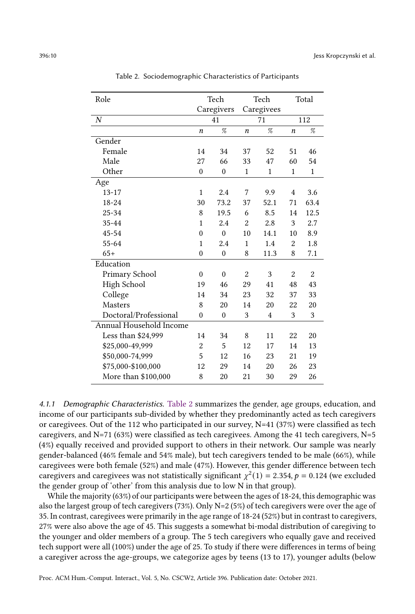<span id="page-9-0"></span>

| Role                    | Tech             |                  | Tech                  |                | Total          |                |
|-------------------------|------------------|------------------|-----------------------|----------------|----------------|----------------|
|                         | Caregivers       |                  | Caregivees            |                |                |                |
| $\overline{N}$          | 41               |                  | 71                    |                | 112            |                |
|                         | $\boldsymbol{n}$ | %                | %<br>$\boldsymbol{n}$ |                | n              | %              |
| Gender                  |                  |                  |                       |                |                |                |
| Female                  | 14               | 34               | 37                    | 52             | 51             | 46             |
| Male                    | 27               | 66               | 33                    | 47             | 60             | 54             |
| Other                   | $\mathbf{0}$     | $\boldsymbol{0}$ | $\mathbf{1}$          | $\mathbf{1}$   | $\mathbf{1}$   | $\mathbf{1}$   |
| Age                     |                  |                  |                       |                |                |                |
| $13 - 17$               | $\mathbf{1}$     | 2.4              | 7                     | 9.9            | $\overline{4}$ | 3.6            |
| 18-24                   | 30               | 73.2             | 37                    | 52.1           | 71             | 63.4           |
| $25 - 34$               | 8                | 19.5             | 6                     | 8.5            | 14             | 12.5           |
| 35-44                   | $\mathbf{1}$     | 2.4              | $\overline{2}$        | 2.8            | 3              | $2.7\,$        |
| 45-54                   | $\theta$         | $\theta$         | 10                    | 14.1           | 10             | 8.9            |
| 55-64                   | $\mathbf{1}$     | 2.4              | $\mathbf{1}$          | 1.4            | $\overline{2}$ | 1.8            |
| $65+$                   | $\mathbf{0}$     | $\boldsymbol{0}$ | 8                     | 11.3           | 8              | 7.1            |
| Education               |                  |                  |                       |                |                |                |
| Primary School          | $\theta$         | $\mathbf{0}$     | $\overline{2}$        | 3              | $\overline{2}$ | $\overline{2}$ |
| High School             | 19               | 46               | 29                    | 41             | 48             | 43             |
| College                 | 14               | 34               | 23                    | 32             | 37             | 33             |
| Masters                 | 8                | 20               | 14                    | 20             | 22             | 20             |
| Doctoral/Professional   | $\mathbf{0}$     | $\boldsymbol{0}$ | 3                     | $\overline{4}$ | 3              | 3              |
| Annual Household Income |                  |                  |                       |                |                |                |
| Less than $$24,999$     | 14               | 34               | 8                     | 11             | 22             | 20             |
| \$25,000-49,999         | $\overline{2}$   | 5                | 12                    | 17             | 14             | 13             |
| \$50,000-74,999         | 5                | 12               | 16                    | 23             | 21             | 19             |
| \$75,000-\$100,000      | 12               | 29               | 14                    | 20             | 26             | 23             |
| More than \$100,000     | 8                | 20               | 21                    | 30             | 29             | 26             |

Table 2. Sociodemographic Characteristics of Participants

4.1.1 Demographic Characteristics. [Table 2](#page-9-0) summarizes the gender, age groups, education, and income of our participants sub-divided by whether they predominantly acted as tech caregivers or caregivees. Out of the 112 who participated in our survey,  $N=41$  (37%) were classified as tech caregivers, and N=71 (63%) were classified as tech caregivees. Among the 41 tech caregivers, N=5 (4%) equally received and provided support to others in their network. Our sample was nearly gender-balanced (46% female and 54% male), but tech caregivers tended to be male (66%), while caregivees were both female (52%) and male (47%). However, this gender difference between tech caregivers and caregivees was not statistically significant  $\chi^2(1) = 2.354$ ,  $p = 0.124$  (we excluded the gender group of 'other' from this analysis due to low N in that group).

While the majority (63%) of our participants were between the ages of 18-24, this demographic was also the largest group of tech caregivers (73%). Only N=2 (5%) of tech caregivers were over the age of 35. In contrast, caregivees were primarily in the age range of 18-24 (52%) but in contrast to caregivers, 27% were also above the age of 45. This suggests a somewhat bi-modal distribution of caregiving to the younger and older members of a group. The 5 tech caregivers who equally gave and received tech support were all (100%) under the age of 25. To study if there were differences in terms of being a caregiver across the age-groups, we categorize ages by teens (13 to 17), younger adults (below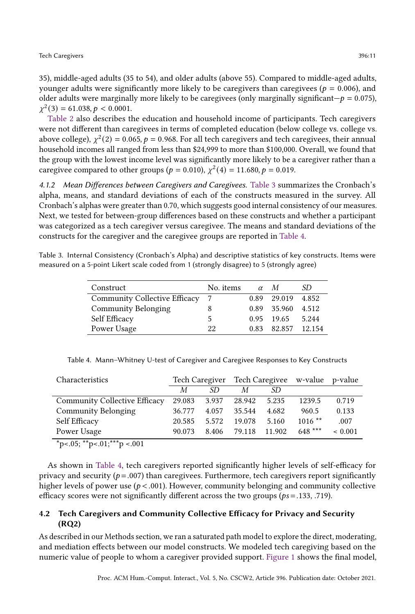35), middle-aged adults (35 to 54), and older adults (above 55). Compared to middle-aged adults, younger adults were significantly more likely to be caregivers than caregivees ( $p = 0.006$ ), and older adults were marginally more likely to be caregivees (only marginally significant— $p = 0.075$ ),  $\chi^2(3) = 61.038, p < 0.0001.$ 

[Table 2](#page-9-0) also describes the education and household income of participants. Tech caregivers were not different than caregivees in terms of completed education (below college vs. college vs. above college),  $\chi^2(2) = 0.065$ ,  $p = 0.968$ . For all tech caregivers and tech caregivees, their annual household incomes all ranged from less than \$24,999 to more than \$100,000. Overall, we found that the group with the lowest income level was significantly more likely to be a caregiver rather than a caregivee compared to other groups ( $p = 0.010$ ),  $\chi^2(4) = 11.680, p = 0.019$ .

4.1.2 Mean Differences between Caregivers and Caregivees. [Table 3](#page-10-0) summarizes the Cronbach's alpha, means, and standard deviations of each of the constructs measured in the survey. All Cronbach's alphas were greater than 0.70, which suggests good internal consistency of our measures. Next, we tested for between-group differences based on these constructs and whether a participant was categorized as a tech caregiver versus caregivee. The means and standard deviations of the constructs for the caregiver and the caregivee groups are reported in [Table 4.](#page-10-1)

<span id="page-10-0"></span>Table 3. Internal Consistency (Cronbach's Alpha) and descriptive statistics of key constructs. Items were measured on a 5-point Likert scale coded from 1 (strongly disagree) to 5 (strongly agree)

| Construct                     | No. items |      | $\alpha$ M   | SD     |
|-------------------------------|-----------|------|--------------|--------|
| Community Collective Efficacy |           |      | 0.89 29.019  | 4.852  |
| <b>Community Belonging</b>    |           |      | 0.89 35.960  | 4.512  |
| Self Efficacy                 | 5         |      | $0.95$ 19.65 | 5.244  |
| Power Usage                   | 22        | 0.83 | 82.857       | 12.154 |
|                               |           |      |              |        |

<span id="page-10-1"></span>Table 4. Mann–Whitney U-test of Caregiver and Caregivee Responses to Key Constructs

| Characteristics               |        |       | Tech Caregiver Tech Caregivee w-value p-value |        |           |             |
|-------------------------------|--------|-------|-----------------------------------------------|--------|-----------|-------------|
|                               | M      | SD.   | М                                             | .SD    |           |             |
| Community Collective Efficacy | 29.083 | 3.937 | 28.942                                        | 5.235  | 1239.5    | 0.719       |
| Community Belonging           | 36.777 | 4.057 | 35.544                                        | 4.682  | 960.5     | 0.133       |
| Self Efficacy                 | 20.585 | 5.572 | 19.078                                        | 5.160  | $1016$ ** | .007        |
| Power Usage                   | 90.073 | 8.406 | 79.118                                        | 11.902 | $648***$  | ${}< 0.001$ |
|                               |        |       |                                               |        |           |             |

 $\text{*p}$  < 0.05; \*\*p < 0.01; \*\*\*p < 0.001

As shown in [Table 4,](#page-10-1) tech caregivers reported significantly higher levels of self-efficacy for privacy and security ( $p = .007$ ) than caregivees. Furthermore, tech caregivers report significantly higher levels of power use ( $p < .001$ ). However, community belonging and community collective efficacy scores were not significantly different across the two groups ( $ps = .133, .719$ ).

# 4.2 Tech Caregivers and Community Collective Efficacy for Privacy and Security (RQ2)

As described in our Methods section, we ran a saturated path model to explore the direct, moderating, and mediation effects between our model constructs. We modeled tech caregiving based on the numeric value of people to whom a caregiver provided support. [Figure 1](#page-11-0) shows the final model,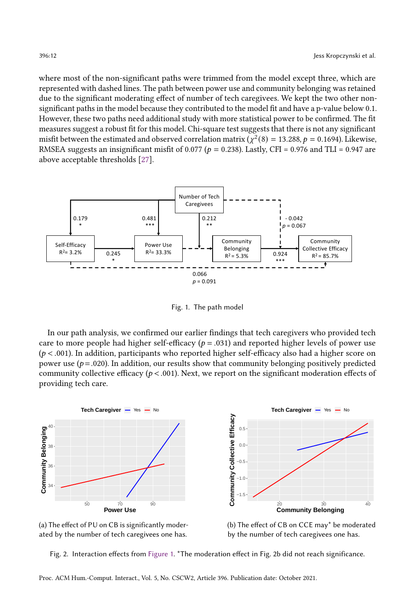where most of the non-significant paths were trimmed from the model except three, which are represented with dashed lines. The path between power use and community belonging was retained due to the significant moderating effect of number of tech caregivees. We kept the two other nonsignificant paths in the model because they contributed to the model fit and have a p-value below 0.1. However, these two paths need additional study with more statistical power to be confirmed. The fit measures suggest a robust fit for this model. Chi-square test suggests that there is not any significant misfit between the estimated and observed correlation matrix ( $\chi^2(8) = 13.288$ ,  $p = 0.1694$ ). Likewise, RMSEA suggests an insignificant misfit of 0.077 ( $p = 0.238$ ). Lastly, CFI = 0.976 and TLI = 0.947 are above acceptable thresholds [\[27\]](#page-21-17).

<span id="page-11-0"></span>

Fig. 1. The path model

In our path analysis, we confirmed our earlier findings that tech caregivers who provided tech care to more people had higher self-efficacy ( $p = .031$ ) and reported higher levels of power use  $(p < .001)$ . In addition, participants who reported higher self-efficacy also had a higher score on power use  $(p=.020)$ . In addition, our results show that community belonging positively predicted community collective efficacy ( $p < .001$ ). Next, we report on the significant moderation effects of providing tech care.

<span id="page-11-1"></span>



(b) The effect of CB on CCE may\* be moderated by the number of tech caregivees one has.

Fig. 2. Interaction effects from [Figure 1.](#page-11-0) \*The moderation effect in Fig. 2b did not reach significance.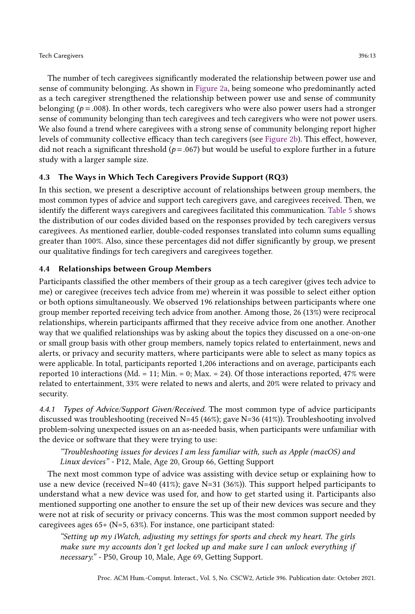The number of tech caregivees significantly moderated the relationship between power use and sense of community belonging. As shown in [Figure 2a,](#page-11-1) being someone who predominantly acted as a tech caregiver strengthened the relationship between power use and sense of community belonging ( $p = .008$ ). In other words, tech caregivers who were also power users had a stronger sense of community belonging than tech caregivees and tech caregivers who were not power users. We also found a trend where caregivees with a strong sense of community belonging report higher levels of community collective efficacy than tech caregivers (see [Figure 2b\)](#page-11-1). This effect, however, did not reach a significant threshold ( $p = .067$ ) but would be useful to explore further in a future study with a larger sample size.

# 4.3 The Ways in Which Tech Caregivers Provide Support (RQ3)

In this section, we present a descriptive account of relationships between group members, the most common types of advice and support tech caregivers gave, and caregivees received. Then, we identify the different ways caregivers and caregivees facilitated this communication. [Table 5](#page-13-0) shows the distribution of our codes divided based on the responses provided by tech caregivers versus caregivees. As mentioned earlier, double-coded responses translated into column sums equalling greater than 100%. Also, since these percentages did not differ significantly by group, we present our qualitative findings for tech caregivers and caregivees together.

# 4.4 Relationships between Group Members

Participants classified the other members of their group as a tech caregiver (gives tech advice to me) or caregivee (receives tech advice from me) wherein it was possible to select either option or both options simultaneously. We observed 196 relationships between participants where one group member reported receiving tech advice from another. Among those, 26 (13%) were reciprocal relationships, wherein participants affirmed that they receive advice from one another. Another way that we qualified relationships was by asking about the topics they discussed on a one-on-one or small group basis with other group members, namely topics related to entertainment, news and alerts, or privacy and security matters, where participants were able to select as many topics as were applicable. In total, participants reported 1,206 interactions and on average, participants each reported 10 interactions (Md. = 11; Min. = 0; Max. = 24). Of those interactions reported, 47% were related to entertainment, 33% were related to news and alerts, and 20% were related to privacy and security.

4.4.1 Types of Advice/Support Given/Received. The most common type of advice participants discussed was troubleshooting (received  $N=45$  (46%); gave  $N=36$  (41%)). Troubleshooting involved problem-solving unexpected issues on an as-needed basis, when participants were unfamiliar with the device or software that they were trying to use:

"Troubleshooting issues for devices I am less familiar with, such as Apple (macOS) and Linux devices" - P12, Male, Age 20, Group 66, Getting Support

The next most common type of advice was assisting with device setup or explaining how to use a new device (received N=40 (41%); gave N=31 (36%)). This support helped participants to understand what a new device was used for, and how to get started using it. Participants also mentioned supporting one another to ensure the set up of their new devices was secure and they were not at risk of security or privacy concerns. This was the most common support needed by caregivees ages 65+ (N=5, 63%). For instance, one participant stated:

"Setting up my iWatch, adjusting my settings for sports and check my heart. The girls make sure my accounts don't get locked up and make sure I can unlock everything if necessary." - P50, Group 10, Male, Age 69, Getting Support.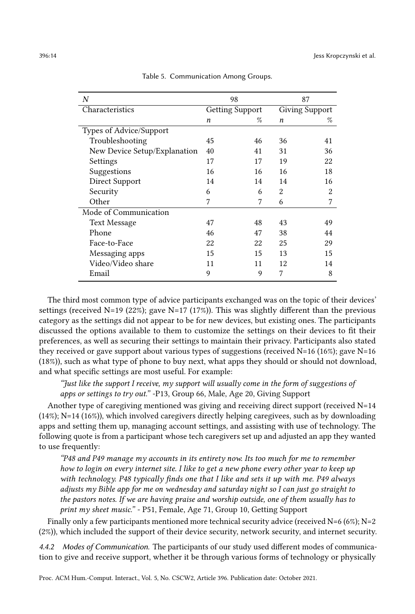<span id="page-13-0"></span>

| $\overline{N}$               |                        | 98 | 87                    |    |  |
|------------------------------|------------------------|----|-----------------------|----|--|
| Characteristics              | <b>Getting Support</b> |    | <b>Giving Support</b> |    |  |
|                              | n                      | %  | n                     | %  |  |
| Types of Advice/Support      |                        |    |                       |    |  |
| Troubleshooting              | 45                     | 46 | 36                    | 41 |  |
| New Device Setup/Explanation | 40                     | 41 | 31                    | 36 |  |
| Settings                     | 17                     | 17 | 19                    | 22 |  |
| Suggestions                  | 16                     | 16 | 16                    | 18 |  |
| Direct Support               | 14                     | 14 | 14                    | 16 |  |
| Security                     | 6                      | 6  | $\overline{2}$        | 2  |  |
| Other                        | 7                      | 7  | 6                     | 7  |  |
| Mode of Communication        |                        |    |                       |    |  |
| <b>Text Message</b>          | 47                     | 48 | 43                    | 49 |  |
| Phone                        | 46                     | 47 | 38                    | 44 |  |
| Face-to-Face                 | 22                     | 22 | 25                    | 29 |  |
| Messaging apps               | 15                     | 15 | 13                    | 15 |  |
| Video/Video share            | 11                     | 11 | 12                    | 14 |  |
| Email                        | 9                      | 9  | 7                     | 8  |  |

Table 5. Communication Among Groups.

The third most common type of advice participants exchanged was on the topic of their devices' settings (received N=19 (22%); gave N=17 (17%)). This was slightly different than the previous category as the settings did not appear to be for new devices, but existing ones. The participants discussed the options available to them to customize the settings on their devices to fit their preferences, as well as securing their settings to maintain their privacy. Participants also stated they received or gave support about various types of suggestions (received  $N=16$  (16%); gave  $N=16$ (18%)), such as what type of phone to buy next, what apps they should or should not download, and what specific settings are most useful. For example:

"Just like the support I receive, my support will usually come in the form of suggestions of apps or settings to try out." -P13, Group 66, Male, Age 20, Giving Support

Another type of caregiving mentioned was giving and receiving direct support (received  $N=14$ (14%); N=14 (16%)), which involved caregivers directly helping caregivees, such as by downloading apps and setting them up, managing account settings, and assisting with use of technology. The following quote is from a participant whose tech caregivers set up and adjusted an app they wanted to use frequently:

"P48 and P49 manage my accounts in its entirety now. Its too much for me to remember how to login on every internet site. I like to get a new phone every other year to keep up with technology. P48 typically finds one that I like and sets it up with me. P49 always adjusts my Bible app for me on wednesday and saturday night so I can just go straight to the pastors notes. If we are having praise and worship outside, one of them usually has to print my sheet music." - P51, Female, Age 71, Group 10, Getting Support

Finally only a few participants mentioned more technical security advice (received N=6 (6%); N=2 (2%)), which included the support of their device security, network security, and internet security.

4.4.2 Modes of Communication. The participants of our study used different modes of communication to give and receive support, whether it be through various forms of technology or physically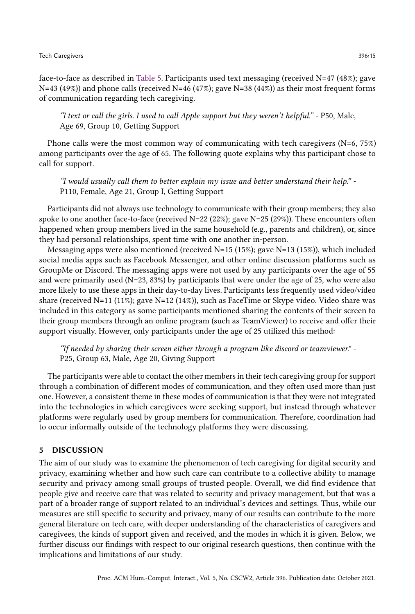face-to-face as described in [Table 5.](#page-13-0) Participants used text messaging (received N=47 (48%); gave N=43 (49%)) and phone calls (received N=46 (47%); gave N=38 (44%)) as their most frequent forms of communication regarding tech caregiving.

"I text or call the girls. I used to call Apple support but they weren't helpful." - P50, Male, Age 69, Group 10, Getting Support

Phone calls were the most common way of communicating with tech caregivers (N=6, 75%) among participants over the age of 65. The following quote explains why this participant chose to call for support.

"I would usually call them to better explain my issue and better understand their help." - P110, Female, Age 21, Group I, Getting Support

Participants did not always use technology to communicate with their group members; they also spoke to one another face-to-face (received  $N=22$  (22%); gave  $N=25$  (29%)). These encounters often happened when group members lived in the same household (e.g., parents and children), or, since they had personal relationships, spent time with one another in-person.

Messaging apps were also mentioned (received  $N=15$  (15%); gave  $N=13$  (15%)), which included social media apps such as Facebook Messenger, and other online discussion platforms such as GroupMe or Discord. The messaging apps were not used by any participants over the age of 55 and were primarily used (N=23, 83%) by participants that were under the age of 25, who were also more likely to use these apps in their day-to-day lives. Participants less frequently used video/video share (received N=11 (11%); gave N=12 (14%)), such as FaceTime or Skype video. Video share was included in this category as some participants mentioned sharing the contents of their screen to their group members through an online program (such as TeamViewer) to receive and offer their support visually. However, only participants under the age of 25 utilized this method:

"If needed by sharing their screen either through a program like discord or teamviewer." - P25, Group 63, Male, Age 20, Giving Support

The participants were able to contact the other members in their tech caregiving group for support through a combination of different modes of communication, and they often used more than just one. However, a consistent theme in these modes of communication is that they were not integrated into the technologies in which caregivees were seeking support, but instead through whatever platforms were regularly used by group members for communication. Therefore, coordination had to occur informally outside of the technology platforms they were discussing.

### 5 DISCUSSION

The aim of our study was to examine the phenomenon of tech caregiving for digital security and privacy, examining whether and how such care can contribute to a collective ability to manage security and privacy among small groups of trusted people. Overall, we did find evidence that people give and receive care that was related to security and privacy management, but that was a part of a broader range of support related to an individual's devices and settings. Thus, while our measures are still specific to security and privacy, many of our results can contribute to the more general literature on tech care, with deeper understanding of the characteristics of caregivers and caregivees, the kinds of support given and received, and the modes in which it is given. Below, we further discuss our findings with respect to our original research questions, then continue with the implications and limitations of our study.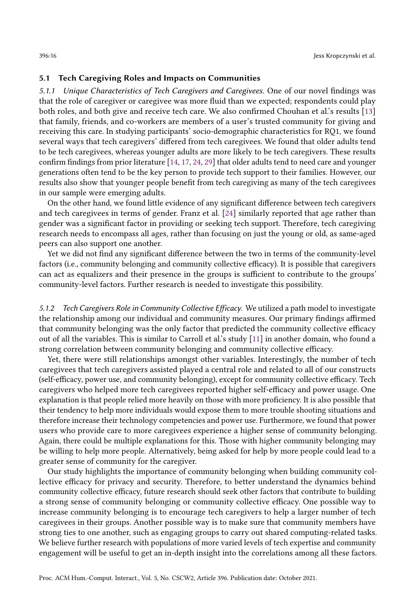### 5.1 Tech Caregiving Roles and Impacts on Communities

5.1.1 Unique Characteristics of Tech Caregivers and Caregivees. One of our novel findings was that the role of caregiver or caregivee was more fluid than we expected; respondents could play both roles, and both give and receive tech care. We also confirmed Chouhan et al.'s results [\[13\]](#page-21-4) that family, friends, and co-workers are members of a user's trusted community for giving and receiving this care. In studying participants' socio-demographic characteristics for RQ1, we found several ways that tech caregivers' differed from tech caregivees. We found that older adults tend to be tech caregivees, whereas younger adults are more likely to be tech caregivers. These results confirm findings from prior literature [\[14,](#page-21-7) [17,](#page-21-18) [24,](#page-21-19) [29\]](#page-21-8) that older adults tend to need care and younger generations often tend to be the key person to provide tech support to their families. However, our results also show that younger people benefit from tech caregiving as many of the tech caregivees in our sample were emerging adults.

On the other hand, we found little evidence of any significant difference between tech caregivers and tech caregivees in terms of gender. Franz et al. [\[24\]](#page-21-19) similarly reported that age rather than gender was a significant factor in providing or seeking tech support. Therefore, tech caregiving research needs to encompass all ages, rather than focusing on just the young or old, as same-aged peers can also support one another.

Yet we did not find any significant difference between the two in terms of the community-level factors (i.e., community belonging and community collective efficacy). It is possible that caregivers can act as equalizers and their presence in the groups is sufficient to contribute to the groups' community-level factors. Further research is needed to investigate this possibility.

5.1.2 Tech Caregivers Role in Community Collective Efficacy. We utilized a path model to investigate the relationship among our individual and community measures. Our primary findings affirmed that community belonging was the only factor that predicted the community collective efficacy out of all the variables. This is similar to Carroll et al.'s study [\[11\]](#page-20-3) in another domain, who found a strong correlation between community belonging and community collective efficacy.

Yet, there were still relationships amongst other variables. Interestingly, the number of tech caregivees that tech caregivers assisted played a central role and related to all of our constructs (self-efficacy, power use, and community belonging), except for community collective efficacy. Tech caregivers who helped more tech caregivees reported higher self-efficacy and power usage. One explanation is that people relied more heavily on those with more proficiency. It is also possible that their tendency to help more individuals would expose them to more trouble shooting situations and therefore increase their technology competencies and power use. Furthermore, we found that power users who provide care to more caregivees experience a higher sense of community belonging. Again, there could be multiple explanations for this. Those with higher community belonging may be willing to help more people. Alternatively, being asked for help by more people could lead to a greater sense of community for the caregiver.

Our study highlights the importance of community belonging when building community collective efficacy for privacy and security. Therefore, to better understand the dynamics behind community collective efficacy, future research should seek other factors that contribute to building a strong sense of community belonging or community collective efficacy. One possible way to increase community belonging is to encourage tech caregivers to help a larger number of tech caregivees in their groups. Another possible way is to make sure that community members have strong ties to one another, such as engaging groups to carry out shared computing-related tasks. We believe further research with populations of more varied levels of tech expertise and community engagement will be useful to get an in-depth insight into the correlations among all these factors.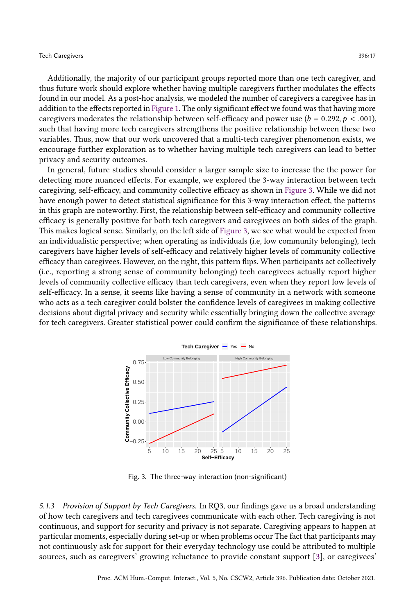Additionally, the majority of our participant groups reported more than one tech caregiver, and thus future work should explore whether having multiple caregivers further modulates the effects found in our model. As a post-hoc analysis, we modeled the number of caregivers a caregivee has in addition to the effects reported in [Figure 1.](#page-11-0) The only significant effect we found was that having more caregivers moderates the relationship between self-efficacy and power use ( $b = 0.292$ ,  $p < .001$ ), such that having more tech caregivers strengthens the positive relationship between these two variables. Thus, now that our work uncovered that a multi-tech caregiver phenomenon exists, we encourage further exploration as to whether having multiple tech caregivers can lead to better privacy and security outcomes.

In general, future studies should consider a larger sample size to increase the the power for detecting more nuanced effects. For example, we explored the 3-way interaction between tech caregiving, self-efficacy, and community collective efficacy as shown in [Figure 3.](#page-16-0) While we did not have enough power to detect statistical significance for this 3-way interaction effect, the patterns in this graph are noteworthy. First, the relationship between self-efficacy and community collective efficacy is generally positive for both tech caregivers and caregivees on both sides of the graph. This makes logical sense. Similarly, on the left side of [Figure 3,](#page-16-0) we see what would be expected from an individualistic perspective; when operating as individuals (i.e, low community belonging), tech caregivers have higher levels of self-efficacy and relatively higher levels of community collective efficacy than caregivees. However, on the right, this pattern flips. When participants act collectively (i.e., reporting a strong sense of community belonging) tech caregivees actually report higher levels of community collective efficacy than tech caregivers, even when they report low levels of self-efficacy. In a sense, it seems like having a sense of community in a network with someone who acts as a tech caregiver could bolster the confidence levels of caregivees in making collective decisions about digital privacy and security while essentially bringing down the collective average for tech caregivers. Greater statistical power could confirm the significance of these relationships.

<span id="page-16-0"></span>

Fig. 3. The three-way interaction (non-significant)

5.1.3 Provision of Support by Tech Caregivers. In RQ3, our findings gave us a broad understanding of how tech caregivers and tech caregivees communicate with each other. Tech caregiving is not continuous, and support for security and privacy is not separate. Caregiving appears to happen at particular moments, especially during set-up or when problems occur The fact that participants may not continuously ask for support for their everyday technology use could be attributed to multiple sources, such as caregivers' growing reluctance to provide constant support [\[3\]](#page-20-1), or caregivees'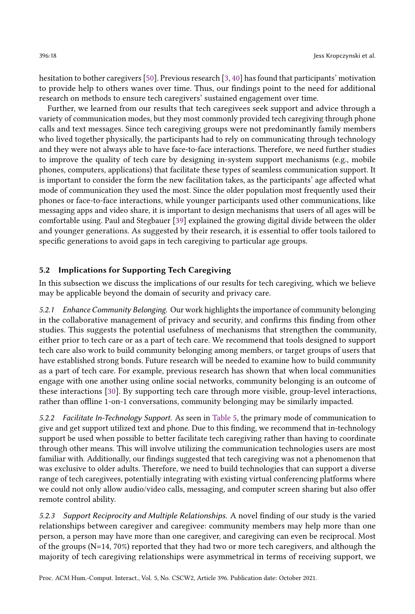hesitation to bother caregivers [\[50\]](#page-22-18). Previous research [\[3,](#page-20-1) [40\]](#page-22-8) has found that participants' motivation to provide help to others wanes over time. Thus, our findings point to the need for additional research on methods to ensure tech caregivers' sustained engagement over time.

Further, we learned from our results that tech caregivees seek support and advice through a variety of communication modes, but they most commonly provided tech caregiving through phone calls and text messages. Since tech caregiving groups were not predominantly family members who lived together physically, the participants had to rely on communicating through technology and they were not always able to have face-to-face interactions. Therefore, we need further studies to improve the quality of tech care by designing in-system support mechanisms (e.g., mobile phones, computers, applications) that facilitate these types of seamless communication support. It is important to consider the form the new facilitation takes, as the participants' age affected what mode of communication they used the most. Since the older population most frequently used their phones or face-to-face interactions, while younger participants used other communications, like messaging apps and video share, it is important to design mechanisms that users of all ages will be comfortable using. Paul and Stegbauer [\[39\]](#page-22-19) explained the growing digital divide between the older and younger generations. As suggested by their research, it is essential to offer tools tailored to specific generations to avoid gaps in tech caregiving to particular age groups.

# 5.2 Implications for Supporting Tech Caregiving

In this subsection we discuss the implications of our results for tech caregiving, which we believe may be applicable beyond the domain of security and privacy care.

5.2.1 Enhance Community Belonging. Our work highlights the importance of community belonging in the collaborative management of privacy and security, and confirms this finding from other studies. This suggests the potential usefulness of mechanisms that strengthen the community, either prior to tech care or as a part of tech care. We recommend that tools designed to support tech care also work to build community belonging among members, or target groups of users that have established strong bonds. Future research will be needed to examine how to build community as a part of tech care. For example, previous research has shown that when local communities engage with one another using online social networks, community belonging is an outcome of these interactions [\[30\]](#page-21-20). By supporting tech care through more visible, group-level interactions, rather than offline 1-on-1 conversations, community belonging may be similarly impacted.

5.2.2 Facilitate In-Technology Support. As seen in [Table 5,](#page-13-0) the primary mode of communication to give and get support utilized text and phone. Due to this finding, we recommend that in-technology support be used when possible to better facilitate tech caregiving rather than having to coordinate through other means. This will involve utilizing the communication technologies users are most familiar with. Additionally, our findings suggested that tech caregiving was not a phenomenon that was exclusive to older adults. Therefore, we need to build technologies that can support a diverse range of tech caregivees, potentially integrating with existing virtual conferencing platforms where we could not only allow audio/video calls, messaging, and computer screen sharing but also offer remote control ability.

5.2.3 Support Reciprocity and Multiple Relationships. A novel finding of our study is the varied relationships between caregiver and caregivee: community members may help more than one person, a person may have more than one caregiver, and caregiving can even be reciprocal. Most of the groups  $(N=14, 70%)$  reported that they had two or more tech caregivers, and although the majority of tech caregiving relationships were asymmetrical in terms of receiving support, we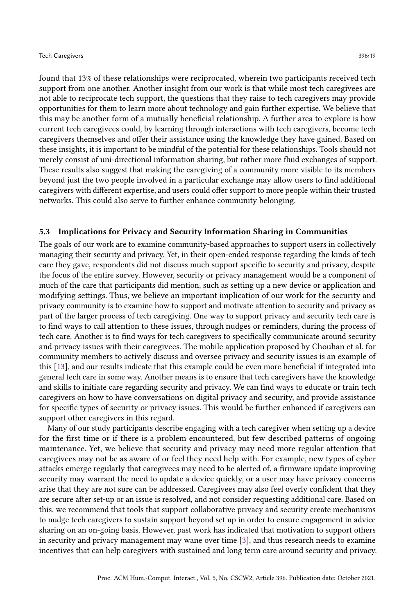found that 13% of these relationships were reciprocated, wherein two participants received tech support from one another. Another insight from our work is that while most tech caregivees are not able to reciprocate tech support, the questions that they raise to tech caregivers may provide opportunities for them to learn more about technology and gain further expertise. We believe that this may be another form of a mutually beneficial relationship. A further area to explore is how current tech caregivees could, by learning through interactions with tech caregivers, become tech caregivers themselves and offer their assistance using the knowledge they have gained. Based on these insights, it is important to be mindful of the potential for these relationships. Tools should not merely consist of uni-directional information sharing, but rather more fluid exchanges of support. These results also suggest that making the caregiving of a community more visible to its members beyond just the two people involved in a particular exchange may allow users to find additional caregivers with different expertise, and users could offer support to more people within their trusted networks. This could also serve to further enhance community belonging.

### 5.3 Implications for Privacy and Security Information Sharing in Communities

The goals of our work are to examine community-based approaches to support users in collectively managing their security and privacy. Yet, in their open-ended response regarding the kinds of tech care they gave, respondents did not discuss much support specific to security and privacy, despite the focus of the entire survey. However, security or privacy management would be a component of much of the care that participants did mention, such as setting up a new device or application and modifying settings. Thus, we believe an important implication of our work for the security and privacy community is to examine how to support and motivate attention to security and privacy as part of the larger process of tech caregiving. One way to support privacy and security tech care is to find ways to call attention to these issues, through nudges or reminders, during the process of tech care. Another is to find ways for tech caregivers to specifically communicate around security and privacy issues with their caregivees. The mobile application proposed by Chouhan et al. for community members to actively discuss and oversee privacy and security issues is an example of this [\[13\]](#page-21-4), and our results indicate that this example could be even more beneficial if integrated into general tech care in some way. Another means is to ensure that tech caregivers have the knowledge and skills to initiate care regarding security and privacy. We can find ways to educate or train tech caregivers on how to have conversations on digital privacy and security, and provide assistance for specific types of security or privacy issues. This would be further enhanced if caregivers can support other caregivers in this regard.

Many of our study participants describe engaging with a tech caregiver when setting up a device for the first time or if there is a problem encountered, but few described patterns of ongoing maintenance. Yet, we believe that security and privacy may need more regular attention that caregivees may not be as aware of or feel they need help with. For example, new types of cyber attacks emerge regularly that caregivees may need to be alerted of, a firmware update improving security may warrant the need to update a device quickly, or a user may have privacy concerns arise that they are not sure can be addressed. Caregivees may also feel overly confident that they are secure after set-up or an issue is resolved, and not consider requesting additional care. Based on this, we recommend that tools that support collaborative privacy and security create mechanisms to nudge tech caregivers to sustain support beyond set up in order to ensure engagement in advice sharing on an on-going basis. However, past work has indicated that motivation to support others in security and privacy management may wane over time [\[3\]](#page-20-1), and thus research needs to examine incentives that can help caregivers with sustained and long term care around security and privacy.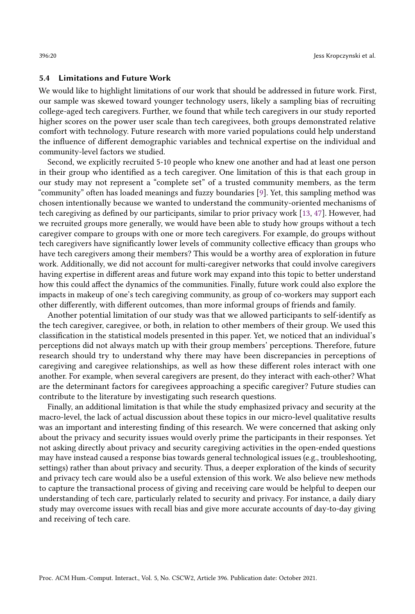### 5.4 Limitations and Future Work

We would like to highlight limitations of our work that should be addressed in future work. First, our sample was skewed toward younger technology users, likely a sampling bias of recruiting college-aged tech caregivers. Further, we found that while tech caregivers in our study reported higher scores on the power user scale than tech caregivees, both groups demonstrated relative comfort with technology. Future research with more varied populations could help understand the influence of different demographic variables and technical expertise on the individual and community-level factors we studied.

Second, we explicitly recruited 5-10 people who knew one another and had at least one person in their group who identified as a tech caregiver. One limitation of this is that each group in our study may not represent a "complete set" of a trusted community members, as the term "community" often has loaded meanings and fuzzy boundaries [\[9\]](#page-20-11). Yet, this sampling method was chosen intentionally because we wanted to understand the community-oriented mechanisms of tech caregiving as defined by our participants, similar to prior privacy work [\[13,](#page-21-4) [47\]](#page-22-5). However, had we recruited groups more generally, we would have been able to study how groups without a tech caregiver compare to groups with one or more tech caregivers. For example, do groups without tech caregivers have significantly lower levels of community collective efficacy than groups who have tech caregivers among their members? This would be a worthy area of exploration in future work. Additionally, we did not account for multi-caregiver networks that could involve caregivers having expertise in different areas and future work may expand into this topic to better understand how this could affect the dynamics of the communities. Finally, future work could also explore the impacts in makeup of one's tech caregiving community, as group of co-workers may support each other differently, with different outcomes, than more informal groups of friends and family.

Another potential limitation of our study was that we allowed participants to self-identify as the tech caregiver, caregivee, or both, in relation to other members of their group. We used this classification in the statistical models presented in this paper. Yet, we noticed that an individual's perceptions did not always match up with their group members' perceptions. Therefore, future research should try to understand why there may have been discrepancies in perceptions of caregiving and caregivee relationships, as well as how these different roles interact with one another. For example, when several caregivers are present, do they interact with each-other? What are the determinant factors for caregivees approaching a specific caregiver? Future studies can contribute to the literature by investigating such research questions.

Finally, an additional limitation is that while the study emphasized privacy and security at the macro-level, the lack of actual discussion about these topics in our micro-level qualitative results was an important and interesting finding of this research. We were concerned that asking only about the privacy and security issues would overly prime the participants in their responses. Yet not asking directly about privacy and security caregiving activities in the open-ended questions may have instead caused a response bias towards general technological issues (e.g., troubleshooting, settings) rather than about privacy and security. Thus, a deeper exploration of the kinds of security and privacy tech care would also be a useful extension of this work. We also believe new methods to capture the transactional process of giving and receiving care would be helpful to deepen our understanding of tech care, particularly related to security and privacy. For instance, a daily diary study may overcome issues with recall bias and give more accurate accounts of day-to-day giving and receiving of tech care.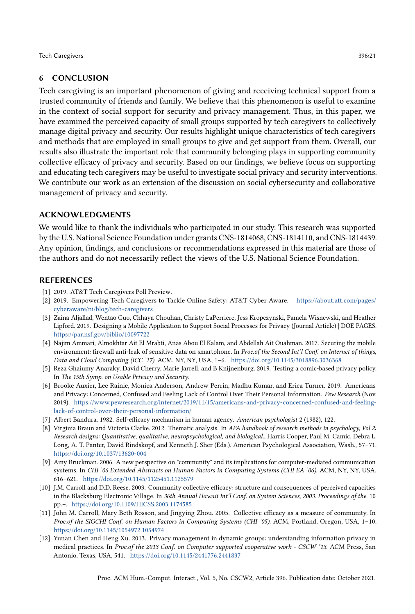# 6 CONCLUSION

Tech caregiving is an important phenomenon of giving and receiving technical support from a trusted community of friends and family. We believe that this phenomenon is useful to examine in the context of social support for security and privacy management. Thus, in this paper, we have examined the perceived capacity of small groups supported by tech caregivers to collectively manage digital privacy and security. Our results highlight unique characteristics of tech caregivers and methods that are employed in small groups to give and get support from them. Overall, our results also illustrate the important role that community belonging plays in supporting community collective efficacy of privacy and security. Based on our findings, we believe focus on supporting and educating tech caregivers may be useful to investigate social privacy and security interventions. We contribute our work as an extension of the discussion on social cybersecurity and collaborative management of privacy and security.

### ACKNOWLEDGMENTS

We would like to thank the individuals who participated in our study. This research was supported by the U.S. National Science Foundation under grants CNS-1814068, CNS-1814110, and CNS-1814439. Any opinion, findings, and conclusions or recommendations expressed in this material are those of the authors and do not necessarily reflect the views of the U.S. National Science Foundation.

### REFERENCES

- <span id="page-20-5"></span>[1] 2019. AT&T Tech Caregivers Poll Preview.
- <span id="page-20-6"></span>[2] 2019. Empowering Tech Caregivers to Tackle Online Safety: AT&T Cyber Aware. [https://about.att.com/pages/](https://about.att.com/pages/cyberaware/ni/blog/tech-caregivers) [cyberaware/ni/blog/tech-caregivers](https://about.att.com/pages/cyberaware/ni/blog/tech-caregivers)
- <span id="page-20-1"></span>[3] Zaina Aljallad, Wentao Guo, Chhaya Chouhan, Christy LaPerriere, Jess Kropczynski, Pamela Wisnewski, and Heather Lipford. 2019. Designing a Mobile Application to Support Social Processes for Privacy (Journal Article) | DOE PAGES. <https://par.nsf.gov/biblio/10097722>
- <span id="page-20-7"></span>[4] Najim Ammari, Almokhtar Ait El Mrabti, Anas Abou El Kalam, and Abdellah Ait Ouahman. 2017. Securing the mobile environment: firewall anti-leak of sensitive data on smartphone. In Proc.of the Second Int'l Conf. on Internet of things, Data and Cloud Computing (ICC '17). ACM, NY, NY, USA, 1–6. <https://doi.org/10.1145/3018896.3036368>
- <span id="page-20-8"></span>[5] Reza Ghaiumy Anaraky, David Cherry, Marie Jarrell, and B Knijnenburg. 2019. Testing a comic-based privacy policy. In The 15th Symp. on Usable Privacy and Security.
- <span id="page-20-0"></span>[6] Brooke Auxier, Lee Rainie, Monica Anderson, Andrew Perrin, Madhu Kumar, and Erica Turner. 2019. Americans and Privacy: Concerned, Confused and Feeling Lack of Control Over Their Personal Information. Pew Research (Nov. 2019). [https://www.pewresearch.org/internet/2019/11/15/americans-and-privacy-concerned-confused-and-feeling](https://www.pewresearch.org/internet/2019/11/15/americans-and-privacy-concerned-confused-and-feeling-lack-of-control-over-their-personal-information/)[lack-of-control-over-their-personal-information/](https://www.pewresearch.org/internet/2019/11/15/americans-and-privacy-concerned-confused-and-feeling-lack-of-control-over-their-personal-information/)
- <span id="page-20-4"></span>[7] Albert Bandura. 1982. Self-efficacy mechanism in human agency. American psychologist 2 (1982), 122.
- <span id="page-20-10"></span>[8] Virginia Braun and Victoria Clarke. 2012. Thematic analysis. In APA handbook of research methods in psychology, Vol 2: Research designs: Quantitative, qualitative, neuropsychological, and biological., Harris Cooper, Paul M. Camic, Debra L. Long, A. T. Panter, David Rindskopf, and Kenneth J. Sher (Eds.). American Psychological Association, Wash., 57–71. <https://doi.org/10.1037/13620-004>
- <span id="page-20-11"></span>[9] Amy Bruckman. 2006. A new perspective on "community" and its implications for computer-mediated communication systems. In CHI '06 Extended Abstracts on Human Factors in Computing Systems (CHI EA '06). ACM, NY, NY, USA, 616–621. <https://doi.org/10.1145/1125451.1125579>
- <span id="page-20-2"></span>[10] J.M. Carroll and D.D. Reese. 2003. Community collective efficacy: structure and consequences of perceived capacities in the Blacksburg Electronic Village. In 36th Annual Hawaii Int'l Conf. on System Sciences, 2003. Proceedings of the. 10 pp.–. <https://doi.org/10.1109/HICSS.2003.1174585>
- <span id="page-20-3"></span>[11] John M. Carroll, Mary Beth Rosson, and Jingying Zhou. 2005. Collective efficacy as a measure of community. In Proc.of the SIGCHI Conf. on Human Factors in Computing Systems (CHI '05). ACM, Portland, Oregon, USA, 1–10. <https://doi.org/10.1145/1054972.1054974>
- <span id="page-20-9"></span>[12] Yunan Chen and Heng Xu. 2013. Privacy management in dynamic groups: understanding information privacy in medical practices. In Proc.of the 2013 Conf. on Computer supported cooperative work - CSCW '13. ACM Press, San Antonio, Texas, USA, 541. <https://doi.org/10.1145/2441776.2441837>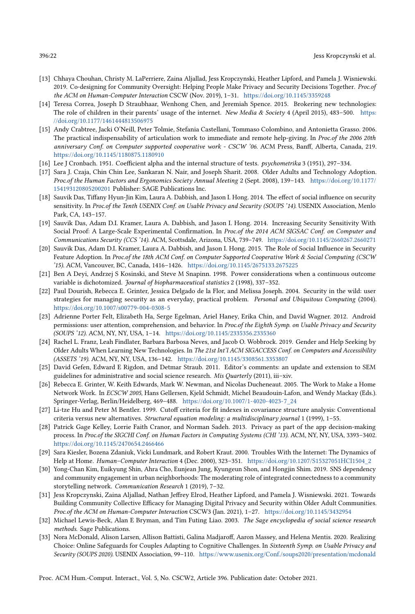- <span id="page-21-4"></span>[13] Chhaya Chouhan, Christy M. LaPerriere, Zaina Aljallad, Jess Kropczynski, Heather Lipford, and Pamela J. Wisniewski. 2019. Co-designing for Community Oversight: Helping People Make Privacy and Security Decisions Together. Proc.of the ACM on Human-Computer Interaction CSCW (Nov. 2019), 1–31. <https://doi.org/10.1145/3359248>
- <span id="page-21-7"></span>[14] Teresa Correa, Joseph D Straubhaar, Wenhong Chen, and Jeremiah Spence. 2015. Brokering new technologies: The role of children in their parents' usage of the internet. New Media & Society 4 (April 2015), 483–500. [https:](https://doi.org/10.1177/1461444813506975) [//doi.org/10.1177/1461444813506975](https://doi.org/10.1177/1461444813506975)
- <span id="page-21-10"></span>[15] Andy Crabtree, Jacki O'Neill, Peter Tolmie, Stefania Castellani, Tommaso Colombino, and Antonietta Grasso. 2006. The practical indispensability of articulation work to immediate and remote help-giving. In Proc.of the 2006 20th anniversary Conf. on Computer supported cooperative work - CSCW '06. ACM Press, Banff, Alberta, Canada, 219. <https://doi.org/10.1145/1180875.1180910>
- <span id="page-21-13"></span>[16] Lee J Cronbach. 1951. Coefficient alpha and the internal structure of tests. psychometrika 3 (1951), 297–334.
- <span id="page-21-18"></span>[17] Sara J. Czaja, Chin Chin Lee, Sankaran N. Nair, and Joseph Sharit. 2008. Older Adults and Technology Adoption. Proc.of the Human Factors and Ergonomics Society Annual Meeting 2 (Sept. 2008), 139–143. [https://doi.org/10.1177/](https://doi.org/10.1177/154193120805200201) [154193120805200201](https://doi.org/10.1177/154193120805200201) Publisher: SAGE Publications Inc.
- <span id="page-21-0"></span>[18] Sauvik Das, Tiffany Hyun-Jin Kim, Laura A. Dabbish, and Jason I. Hong. 2014. The effect of social influence on security sensitivity. In Proc.of the Tenth USENIX Conf. on Usable Privacy and Security (SOUPS '14). USENIX Association, Menlo Park, CA, 143–157.
- <span id="page-21-1"></span>[19] Sauvik Das, Adam D.I. Kramer, Laura A. Dabbish, and Jason I. Hong. 2014. Increasing Security Sensitivity With Social Proof: A Large-Scale Experimental Confirmation. In Proc.of the 2014 ACM SIGSAC Conf. on Computer and Communications Security (CCS '14). ACM, Scottsdale, Arizona, USA, 739–749. <https://doi.org/10.1145/2660267.2660271>
- <span id="page-21-12"></span>[20] Sauvik Das, Adam D.I. Kramer, Laura A. Dabbish, and Jason I. Hong. 2015. The Role of Social Influence in Security Feature Adoption. In Proc.of the 18th ACM Conf. on Computer Supported Cooperative Work & Social Computing (CSCW '15). ACM, Vancouver, BC, Canada, 1416–1426. <https://doi.org/10.1145/2675133.2675225>
- <span id="page-21-16"></span>[21] Ben A Deyi, Andrzej S Kosinski, and Steve M Snapinn. 1998. Power considerations when a continuous outcome variable is dichotomized. Journal of biopharmaceutical statistics 2 (1998), 337-352.
- <span id="page-21-6"></span>[22] Paul Dourish, Rebecca E. Grinter, Jessica Delgado de la Flor, and Melissa Joseph. 2004. Security in the wild: user strategies for managing security as an everyday, practical problem. Personal and Ubiquitous Computing (2004). <https://doi.org/10.1007/s00779-004-0308-5>
- <span id="page-21-2"></span>[23] Adrienne Porter Felt, Elizabeth Ha, Serge Egelman, Ariel Haney, Erika Chin, and David Wagner. 2012. Android permissions: user attention, comprehension, and behavior. In Proc.of the Eighth Symp. on Usable Privacy and Security (SOUPS '12). ACM, NY, NY, USA, 1–14. <https://doi.org/10.1145/2335356.2335360>
- <span id="page-21-19"></span>[24] Rachel L. Franz, Leah Findlater, Barbara Barbosa Neves, and Jacob O. Wobbrock. 2019. Gender and Help Seeking by Older Adults When Learning New Technologies. In The 21st Int'l ACM SIGACCESS Conf. on Computers and Accessibility (ASSETS '19). ACM, NY, NY, USA, 136–142. <https://doi.org/10.1145/3308561.3353807>
- <span id="page-21-15"></span>[25] David Gefen, Edward E Rigdon, and Detmar Straub. 2011. Editor's comments: an update and extension to SEM guidelines for administrative and social science research. *Mis Quarterly* (2011), iii–xiv.
- <span id="page-21-9"></span>[26] Rebecca E. Grinter, W. Keith Edwards, Mark W. Newman, and Nicolas Ducheneaut. 2005. The Work to Make a Home Network Work. In ECSCW 2005, Hans Gellersen, Kjeld Schmidt, Michel Beaudouin-Lafon, and Wendy Mackay (Eds.). Springer-Verlag, Berlin/Heidelberg, 469–488. [https://doi.org/10.1007/1-4020-4023-7\\_24](https://doi.org/10.1007/1-4020-4023-7_24)
- <span id="page-21-17"></span>[27] Li-tze Hu and Peter M Bentler. 1999. Cutoff criteria for fit indexes in covariance structure analysis: Conventional criteria versus new alternatives. Structural equation modeling: a multidisciplinary journal 1 (1999), 1-55.
- <span id="page-21-3"></span>[28] Patrick Gage Kelley, Lorrie Faith Cranor, and Norman Sadeh. 2013. Privacy as part of the app decision-making process. In Proc.of the SIGCHI Conf. on Human Factors in Computing Systems (CHI '13). ACM, NY, NY, USA, 3393–3402. <https://doi.org/10.1145/2470654.2466466>
- <span id="page-21-8"></span>[29] Sara Kiesler, Bozena Zdaniuk, Vicki Lundmark, and Robert Kraut. 2000. Troubles With the Internet: The Dynamics of Help at Home. Human–Computer Interaction 4 (Dec. 2000), 323–351. [https://doi.org/10.1207/S15327051HCI1504\\_2](https://doi.org/10.1207/S15327051HCI1504_2)
- <span id="page-21-20"></span>[30] Yong-Chan Kim, Euikyung Shin, Ahra Cho, Eunjean Jung, Kyungeun Shon, and Hongjin Shim. 2019. SNS dependency and community engagement in urban neighborhoods: The moderating role of integrated connectedness to a community storytelling network. Communication Research 1 (2019), 7–32.
- <span id="page-21-5"></span>[31] Jess Kropczynski, Zaina Aljallad, Nathan Jeffrey Elrod, Heather Lipford, and Pamela J. Wisniewski. 2021. Towards Building Community Collective Efficacy for Managing Digital Privacy and Security within Older Adult Communities. Proc.of the ACM on Human-Computer Interaction CSCW3 (Jan. 2021), 1–27. <https://doi.org/10.1145/3432954>
- <span id="page-21-14"></span>[32] Michael Lewis-Beck, Alan E Bryman, and Tim Futing Liao. 2003. The Sage encyclopedia of social science research methods. Sage Publications.
- <span id="page-21-11"></span>[33] Nora McDonald, Alison Larsen, Allison Battisti, Galina Madjaroff, Aaron Massey, and Helena Mentis. 2020. Realizing Choice: Online Safeguards for Couples Adapting to Cognitive Challenges. In Sixteenth Symp. on Usable Privacy and Security (SOUPS 2020). USENIX Association, 99–110. <https://www.usenix.org/Conf./soups2020/presentation/mcdonald>

Proc. ACM Hum.-Comput. Interact., Vol. 5, No. CSCW2, Article 396. Publication date: October 2021.